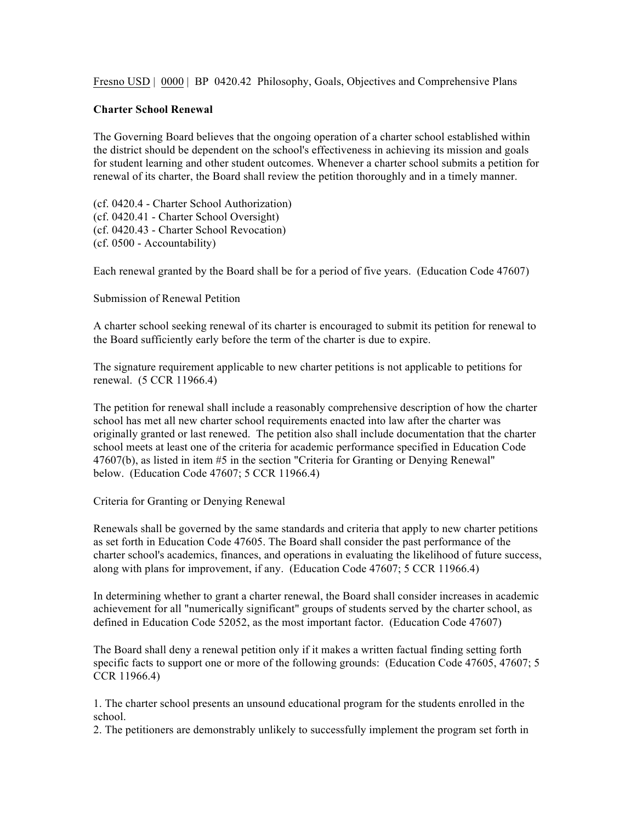Fresno USD | 0000 | BP 0420.42 Philosophy, Goals, Objectives and Comprehensive Plans

## **Charter School Renewal**

The Governing Board believes that the ongoing operation of a charter school established within the district should be dependent on the school's effectiveness in achieving its mission and goals for student learning and other student outcomes. Whenever a charter school submits a petition for renewal of its charter, the Board shall review the petition thoroughly and in a timely manner.

(cf. 0420.4 - Charter School Authorization) (cf. 0420.41 - Charter School Oversight) (cf. 0420.43 - Charter School Revocation) (cf. 0500 - Accountability)

Each renewal granted by the Board shall be for a period of five years. (Education Code 47607)

Submission of Renewal Petition

A charter school seeking renewal of its charter is encouraged to submit its petition for renewal to the Board sufficiently early before the term of the charter is due to expire.

The signature requirement applicable to new charter petitions is not applicable to petitions for renewal. (5 CCR 11966.4)

The petition for renewal shall include a reasonably comprehensive description of how the charter school has met all new charter school requirements enacted into law after the charter was originally granted or last renewed. The petition also shall include documentation that the charter school meets at least one of the criteria for academic performance specified in Education Code 47607(b), as listed in item #5 in the section "Criteria for Granting or Denying Renewal" below. (Education Code 47607; 5 CCR 11966.4)

Criteria for Granting or Denying Renewal

Renewals shall be governed by the same standards and criteria that apply to new charter petitions as set forth in Education Code 47605. The Board shall consider the past performance of the charter school's academics, finances, and operations in evaluating the likelihood of future success, along with plans for improvement, if any. (Education Code 47607; 5 CCR 11966.4)

In determining whether to grant a charter renewal, the Board shall consider increases in academic achievement for all "numerically significant" groups of students served by the charter school, as defined in Education Code 52052, as the most important factor. (Education Code 47607)

The Board shall deny a renewal petition only if it makes a written factual finding setting forth specific facts to support one or more of the following grounds: (Education Code 47605, 47607; 5 CCR 11966.4)

1. The charter school presents an unsound educational program for the students enrolled in the school.

2. The petitioners are demonstrably unlikely to successfully implement the program set forth in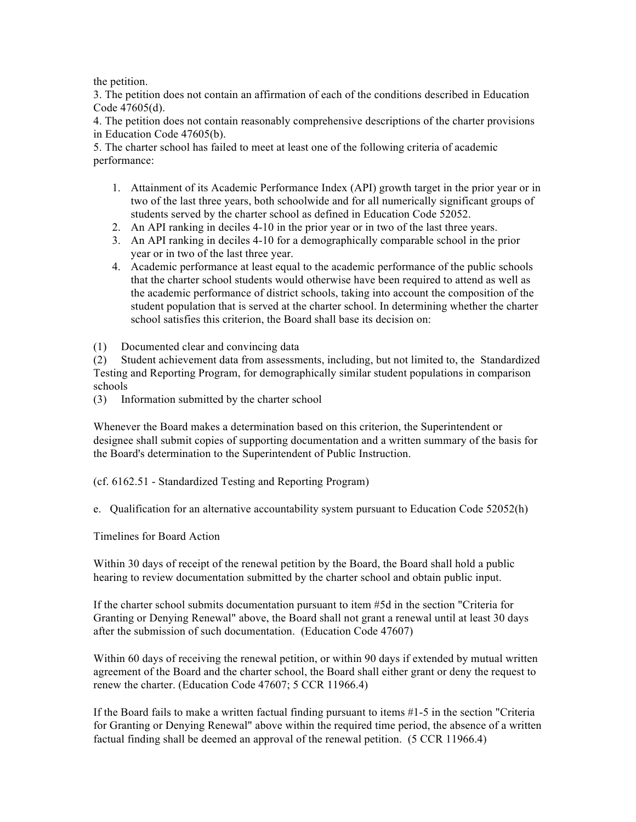the petition.

3. The petition does not contain an affirmation of each of the conditions described in Education Code 47605(d).

4. The petition does not contain reasonably comprehensive descriptions of the charter provisions in Education Code 47605(b).

5. The charter school has failed to meet at least one of the following criteria of academic performance:

- 1. Attainment of its Academic Performance Index (API) growth target in the prior year or in two of the last three years, both schoolwide and for all numerically significant groups of students served by the charter school as defined in Education Code 52052.
- 2. An API ranking in deciles 4-10 in the prior year or in two of the last three years.
- 3. An API ranking in deciles 4-10 for a demographically comparable school in the prior year or in two of the last three year.
- 4. Academic performance at least equal to the academic performance of the public schools that the charter school students would otherwise have been required to attend as well as the academic performance of district schools, taking into account the composition of the student population that is served at the charter school. In determining whether the charter school satisfies this criterion, the Board shall base its decision on:
- (1) Documented clear and convincing data

(2) Student achievement data from assessments, including, but not limited to, the Standardized Testing and Reporting Program, for demographically similar student populations in comparison schools

(3) Information submitted by the charter school

Whenever the Board makes a determination based on this criterion, the Superintendent or designee shall submit copies of supporting documentation and a written summary of the basis for the Board's determination to the Superintendent of Public Instruction.

(cf. 6162.51 - Standardized Testing and Reporting Program)

e. Qualification for an alternative accountability system pursuant to Education Code 52052(h)

Timelines for Board Action

Within 30 days of receipt of the renewal petition by the Board, the Board shall hold a public hearing to review documentation submitted by the charter school and obtain public input.

If the charter school submits documentation pursuant to item #5d in the section "Criteria for Granting or Denying Renewal" above, the Board shall not grant a renewal until at least 30 days after the submission of such documentation. (Education Code 47607)

Within 60 days of receiving the renewal petition, or within 90 days if extended by mutual written agreement of the Board and the charter school, the Board shall either grant or deny the request to renew the charter. (Education Code 47607; 5 CCR 11966.4)

If the Board fails to make a written factual finding pursuant to items #1-5 in the section "Criteria for Granting or Denying Renewal" above within the required time period, the absence of a written factual finding shall be deemed an approval of the renewal petition. (5 CCR 11966.4)